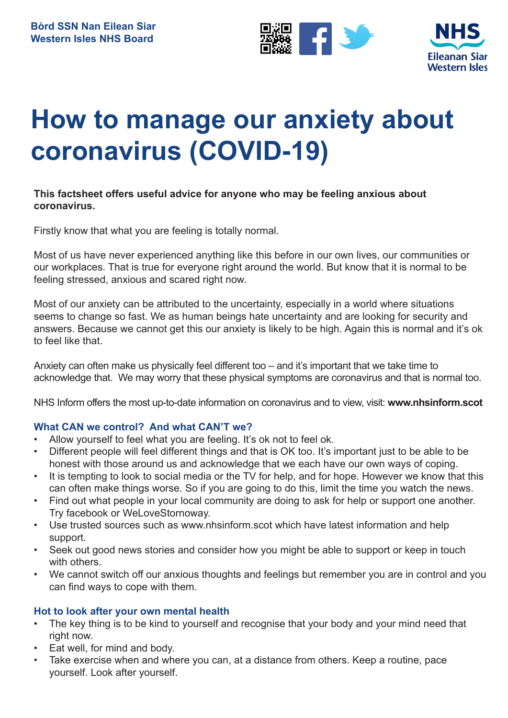



# **How to manage our anxiety about coronavirus (COVID-19)**

#### **This factsheet offers useful advice for anyone who may be feeling anxious about coronavirus.**

Firstly know that what you are feeling is totally normal.

Most of us have never experienced anything like this before in our own lives, our communities or our workplaces. That is true for everyone right around the world. But know that it is normal to be feeling stressed, anxious and scared right now.

Most of our anxiety can be attributed to the uncertainty, especially in a world where situations seems to change so fast. We as human beings hate uncertainty and are looking for security and answers. Because we cannot get this our anxiety is likely to be high. Again this is normal and it's ok to feel like that.

Anxiety can often make us physically feel different too – and it's important that we take time to acknowledge that. We may worry that these physical symptoms are coronavirus and that is normal too.

NHS Inform offers the most up-to-date information on coronavirus and to view, visit: **www.nhsinform.scot** 

# **What CAN we control? And what CAN'T we?**

- Allow yourself to feel what you are feeling. It's ok not to feel ok.
- Different people will feel different things and that is OK too. It's important just to be able to be honest with those around us and acknowledge that we each have our own ways of coping.
- It is tempting to look to social media or the TV for help, and for hope. However we know that this can often make things worse. So if you are going to do this, limit the time you watch the news.
- Find out what people in your local community are doing to ask for help or support one another. Try facebook or WeLoveStornoway.
- Use trusted sources such as www.nhsinform.scot which have latest information and help support.
- Seek out good news stories and consider how you might be able to support or keep in touch with others.
- We cannot switch off our anxious thoughts and feelings but remember you are in control and you can find ways to cope with them.

#### **Hot to look after your own mental health**

- The key thing is to be kind to yourself and recognise that your body and your mind need that right now.
- Eat well, for mind and body.
- Take exercise when and where you can, at a distance from others. Keep a routine, pace yourself. Look after yourself.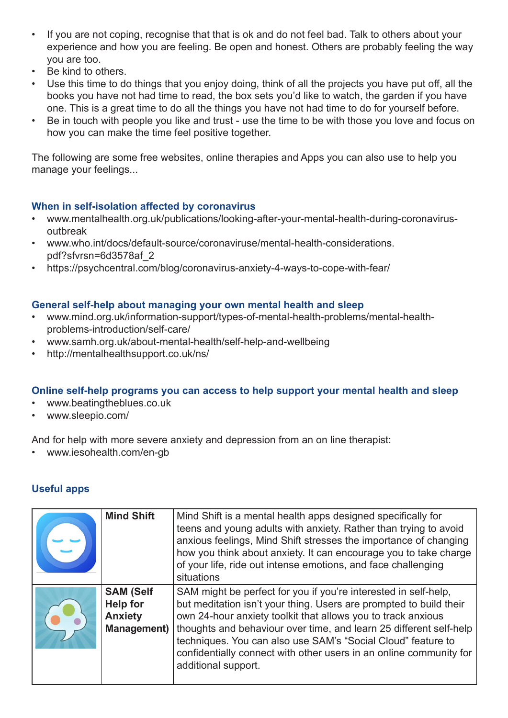- If you are not coping, recognise that that is ok and do not feel bad. Talk to others about your experience and how you are feeling. Be open and honest. Others are probably feeling the way you are too.
- Be kind to others.
- Use this time to do things that you enjoy doing, think of all the projects you have put off, all the books you have not had time to read, the box sets you'd like to watch, the garden if you have one. This is a great time to do all the things you have not had time to do for yourself before.
- Be in touch with people you like and trust use the time to be with those you love and focus on how you can make the time feel positive together.

The following are some free websites, online therapies and Apps you can also use to help you manage your feelings...

### **When in self-isolation affected by coronavirus**

- www.mentalhealth.org.uk/publications/looking-after-your-mental-health-during-coronavirusoutbreak
- www.who.int/docs/default-source/coronaviruse/mental-health-considerations. pdf?sfvrsn=6d3578af\_2
- https://psychcentral.com/blog/coronavirus-anxiety-4-ways-to-cope-with-fear/

### **General self-help about managing your own mental health and sleep**

- www.mind.org.uk/information-support/types-of-mental-health-problems/mental-healthproblems-introduction/self-care/
- www.samh.org.uk/about-mental-health/self-help-and-wellbeing
- http://mentalhealthsupport.co.uk/ns/

#### **Online self-help programs you can access to help support your mental health and sleep**

- www.beatingtheblues.co.uk
- www.sleepio.com/

And for help with more severe anxiety and depression from an on line therapist:

• www.iesohealth.com/en-gb

# **Useful apps**

| <b>Mind Shift</b>                                                           | Mind Shift is a mental health apps designed specifically for<br>teens and young adults with anxiety. Rather than trying to avoid<br>anxious feelings, Mind Shift stresses the importance of changing<br>how you think about anxiety. It can encourage you to take charge<br>of your life, ride out intense emotions, and face challenging<br>situations                                                                                  |
|-----------------------------------------------------------------------------|------------------------------------------------------------------------------------------------------------------------------------------------------------------------------------------------------------------------------------------------------------------------------------------------------------------------------------------------------------------------------------------------------------------------------------------|
| <b>SAM (Self</b><br><b>Help for</b><br><b>Anxiety</b><br><b>Management)</b> | SAM might be perfect for you if you're interested in self-help,<br>but meditation isn't your thing. Users are prompted to build their<br>own 24-hour anxiety toolkit that allows you to track anxious<br>thoughts and behaviour over time, and learn 25 different self-help<br>techniques. You can also use SAM's "Social Cloud" feature to<br>confidentially connect with other users in an online community for<br>additional support. |